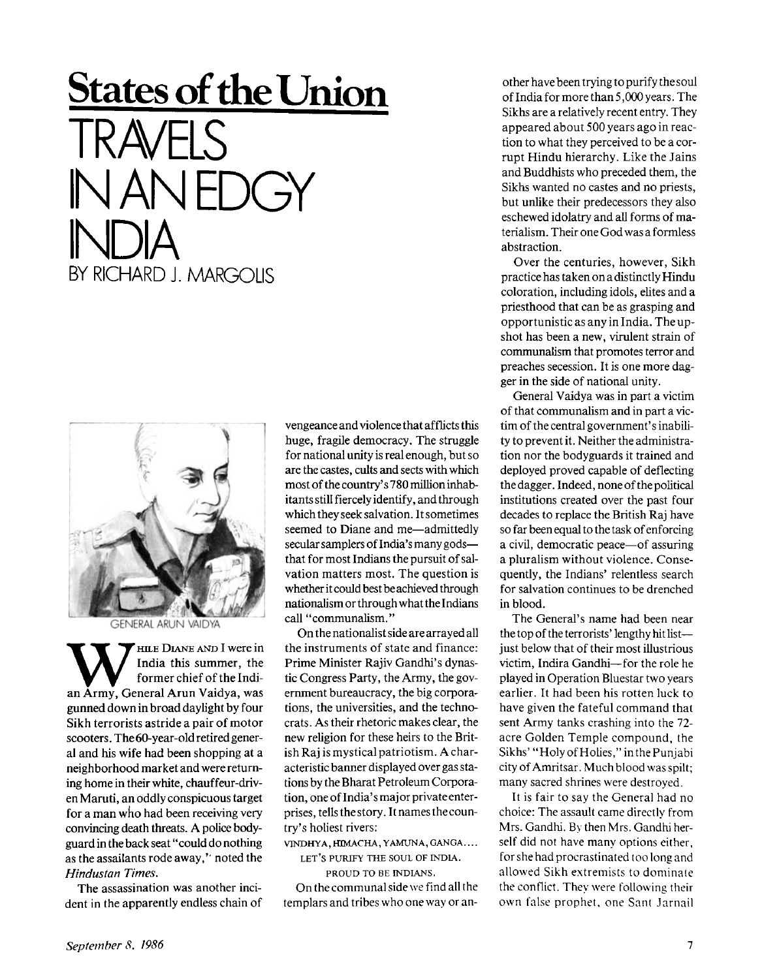## **States of the Union**  TRAVELS IN AN EDGY INDIA

**BY RICHARD J. MARGOLIS** 

**GENERAL ARUN VAIDYA** 

**W MELO PLANE AND I WETCH Army**, General Arun Vaidya, was  $'$  **HILE DIANE AND I** were in India this summer, the former chief of the Indigunned down in broad daylight by four Sikh terrorists astride a pair of motor scooters. The 60-year-old retired general and his wife had been shopping at a neighborhood market and were returning home in their white, chauffeur-driven Maruti, an oddly conspicuous target for a man who had been receiving very convincing death threats. A police bodyguard in the back seat "could do nothing as the assailants rode away,'" noted the *Hindustan Times.* 

The assassination was another incident in the apparently endless chain of vengeance and violence that afflicts this huge, fragile democracy. The struggle for national unity is real enough, but so are the castes, cults and sects with which most of the country's 780 million inhabitants still fiercely identify, and through which they seek salvation. It sometimes seemed to Diane and me—admittedly secular samplers of India's many gods that for most Indians the pursuit of salvation matters most. The question is whether it could best be achieved through nationalism or through what the Indians call "communalism. "

On the nationalist side are arrayed all the instruments of state and finance: Prime Minister Rajiv Gandhi's dynastic Congress Party, the Army, the government bureaucracy, the big corporations, the universities, and the technocrats. As their rhetoric makes clear, the new religion for these heirs to the British Raj is mystical patriotism. A characteristic banner displayed over gas stations by the Bharat Petroleum Corporation, one of India's major private enterprises, tells the story. It names the country's holiest rivers:

**VINDHYA, HIMACHA, YAMUNA, GANGA... .** 

**LET'S PURIFY THE SOUL OF INDIA. PROUD TO BE INDIANS.** 

On the communal side we find all the templars and tribes who one way or an-

other have been trying to purify the soul of India for more than 5,000 years. The Sikhs are a relatively recent entry. They appeared about 500 years ago in reaction to what they perceived to be a corrupt Hindu hierarchy. Like the Jains and Buddhists who preceded them, the Sikhs wanted no castes and no priests, but unlike their predecessors they also eschewed idolatry and all forms of materialism. Their one God was a formless abstraction.

Over the centuries, however, Sikh practice has taken on a distinctly Hindu coloration, including idols, elites and a priesthood that can be as grasping and opportunistic as any in India. The upshot has been a new, virulent strain of communalism that promotes terror and preaches secession. It is one more dagger in the side of national unity.

General Vaidya was in part a victim of that communalism and in part a victim of the central government's inability to prevent it. Neither the administration nor the bodyguards it trained and deployed proved capable of deflecting the dagger. Indeed, none of the political institutions created over the past four decades to replace the British Raj have so far been equal to the task of enforcing a civil, democratic peace—of assuring a pluralism without violence. Consequently, the Indians' relentless search for salvation continues to be drenched in blood.

The General's name had been near the top of the terrorists' lengthy hit list just below that of their most illustrious victim, Indira Gandhi—for the role he played in Operation Bluestar two years earlier. It had been his rotten luck to have given the fateful command that sent Army tanks crashing into the 72 acre Golden Temple compound, the Sikhs' "Holy of Holies," in the Punjabi city of Amritsar. Much blood was spilt; many sacred shrines were destroyed.

It is fair to say the General had no choice: The assault came directly from Mrs. Gandhi. By then Mrs. Gandhi herself did not have many options either, for she had procrastinated too long and allowed Sikh extremists to dominate the conflict. They were following their own false prophet, one Sant Jarnail